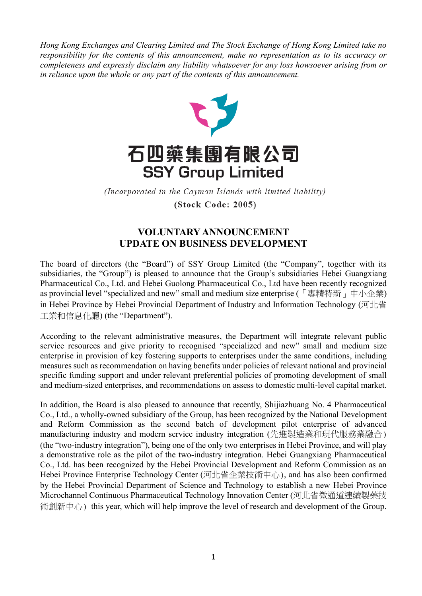*Hong Kong Exchanges and Clearing Limited and The Stock Exchange of Hong Kong Limited take no responsibility for the contents of this announcement, make no representation as to its accuracy or completeness and expressly disclaim any liability whatsoever for any loss howsoever arising from or in reliance upon the whole or any part of the contents of this announcement.*



(Incorporated in the Cayman Islands with limited liability) (Stock Code: 2005)

## **VOLUNTARY ANNOUNCEMENT UPDATE ON BUSINESS DEVELOPMENT**

The board of directors (the "Board") of SSY Group Limited (the "Company", together with its subsidiaries, the "Group") is pleased to announce that the Group's subsidiaries Hebei Guangxiang Pharmaceutical Co., Ltd. and Hebei Guolong Pharmaceutical Co., Ltd have been recently recognized as provincial level "specialized and new" small and medium size enterprise (「專精特新」中小企業) in Hebei Province by Hebei Provincial Department of Industry and Information Technology (河北省 工業和信息化廳) (the "Department").

According to the relevant administrative measures, the Department will integrate relevant public service resources and give priority to recognised "specialized and new" small and medium size enterprise in provision of key fostering supports to enterprises under the same conditions, including measures such as recommendation on having benefits under policies of relevant national and provincial specific funding support and under relevant preferential policies of promoting development of small and medium-sized enterprises, and recommendations on assess to domestic multi-level capital market.

In addition, the Board is also pleased to announce that recently, Shijiazhuang No. 4 Pharmaceutical Co., Ltd., a wholly-owned subsidiary of the Group, has been recognized by the National Development and Reform Commission as the second batch of development pilot enterprise of advanced manufacturing industry and modern service industry integration (先進製造業和現代服務業融合) (the "two-industry integration"), being one of the only two enterprises in Hebei Province, and will play a demonstrative role as the pilot of the two-industry integration. Hebei Guangxiang Pharmaceutical Co., Ltd. has been recognized by the Hebei Provincial Development and Reform Commission as an Hebei Province Enterprise Technology Center (河北省企業技術中心), and has also been confirmed by the Hebei Provincial Department of Science and Technology to establish a new Hebei Province Microchannel Continuous Pharmaceutical Technology Innovation Center (河北省微通道連續製藥技 術創新中心) this year, which will help improve the level of research and development of the Group.